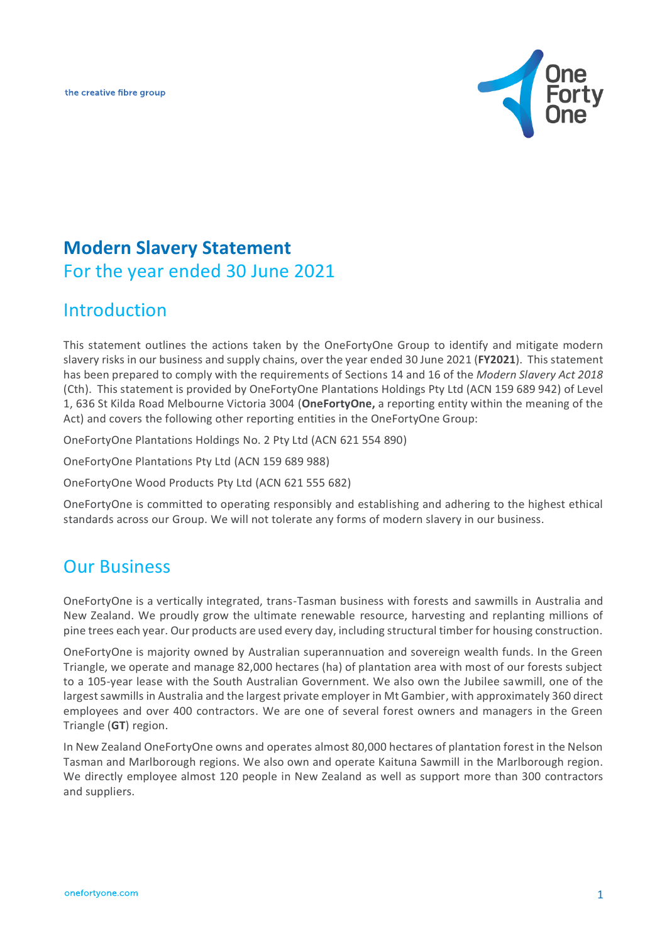the creative fibre group



# **Modern Slavery Statement**  For the year ended 30 June 2021

## **Introduction**

This statement outlines the actions taken by the OneFortyOne Group to identify and mitigate modern slavery risks in our business and supply chains, over the year ended 30 June 2021 (**FY2021**). This statement has been prepared to comply with the requirements of Sections 14 and 16 of the *Modern Slavery Act 2018* (Cth). This statement is provided by OneFortyOne Plantations Holdings Pty Ltd (ACN 159 689 942) of Level 1, 636 St Kilda Road Melbourne Victoria 3004 (**OneFortyOne,** a reporting entity within the meaning of the Act) and covers the following other reporting entities in the OneFortyOne Group:

OneFortyOne Plantations Holdings No. 2 Pty Ltd (ACN 621 554 890)

OneFortyOne Plantations Pty Ltd (ACN 159 689 988)

OneFortyOne Wood Products Pty Ltd (ACN 621 555 682)

OneFortyOne is committed to operating responsibly and establishing and adhering to the highest ethical standards across our Group. We will not tolerate any forms of modern slavery in our business.

### Our Business

OneFortyOne is a vertically integrated, trans-Tasman business with forests and sawmills in Australia and New Zealand. We proudly grow the ultimate renewable resource, harvesting and replanting millions of pine trees each year. Our products are used every day, including structural timber for housing construction.

OneFortyOne is majority owned by Australian superannuation and sovereign wealth funds. In the Green Triangle, we operate and manage 82,000 hectares (ha) of plantation area with most of our forests subject to a 105-year lease with the South Australian Government. We also own the Jubilee sawmill, one of the largest sawmills in Australia and the largest private employer in Mt Gambier, with approximately 360 direct employees and over 400 contractors. We are one of several forest owners and managers in the Green Triangle (**GT**) region.

In New Zealand OneFortyOne owns and operates almost 80,000 hectares of plantation forest in the Nelson Tasman and Marlborough regions. We also own and operate Kaituna Sawmill in the Marlborough region. We directly employee almost 120 people in New Zealand as well as support more than 300 contractors and suppliers.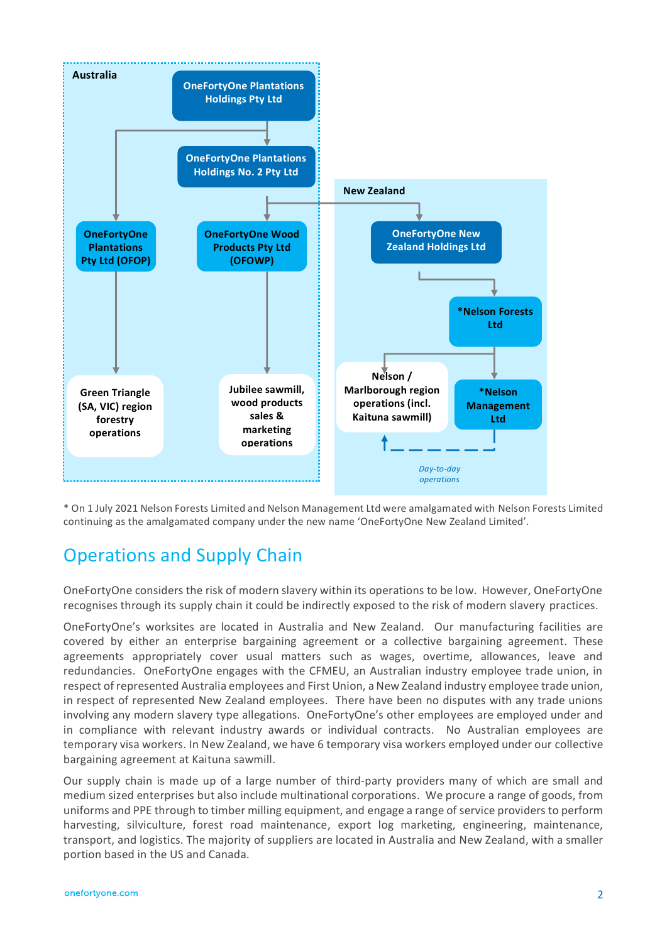

\* On 1 July 2021 Nelson Forests Limited and Nelson Management Ltd were amalgamated with Nelson Forests Limited continuing as the amalgamated company under the new name 'OneFortyOne New Zealand Limited'.

## Operations and Supply Chain

OneFortyOne considers the risk of modern slavery within its operations to be low. However, OneFortyOne recognises through its supply chain it could be indirectly exposed to the risk of modern slavery practices.

OneFortyOne's worksites are located in Australia and New Zealand. Our manufacturing facilities are covered by either an enterprise bargaining agreement or a collective bargaining agreement. These agreements appropriately cover usual matters such as wages, overtime, allowances, leave and redundancies. OneFortyOne engages with the CFMEU, an Australian industry employee trade union, in respect of represented Australia employees and First Union, a New Zealand industry employee trade union, in respect of represented New Zealand employees. There have been no disputes with any trade unions involving any modern slavery type allegations. OneFortyOne's other employees are employed under and in compliance with relevant industry awards or individual contracts. No Australian employees are temporary visa workers. In New Zealand, we have 6 temporary visa workers employed under our collective bargaining agreement at Kaituna sawmill.

Our supply chain is made up of a large number of third-party providers many of which are small and medium sized enterprises but also include multinational corporations. We procure a range of goods, from uniforms and PPE through to timber milling equipment, and engage a range of service providers to perform harvesting, silviculture, forest road maintenance, export log marketing, engineering, maintenance, transport, and logistics. The majority of suppliers are located in Australia and New Zealand, with a smaller portion based in the US and Canada.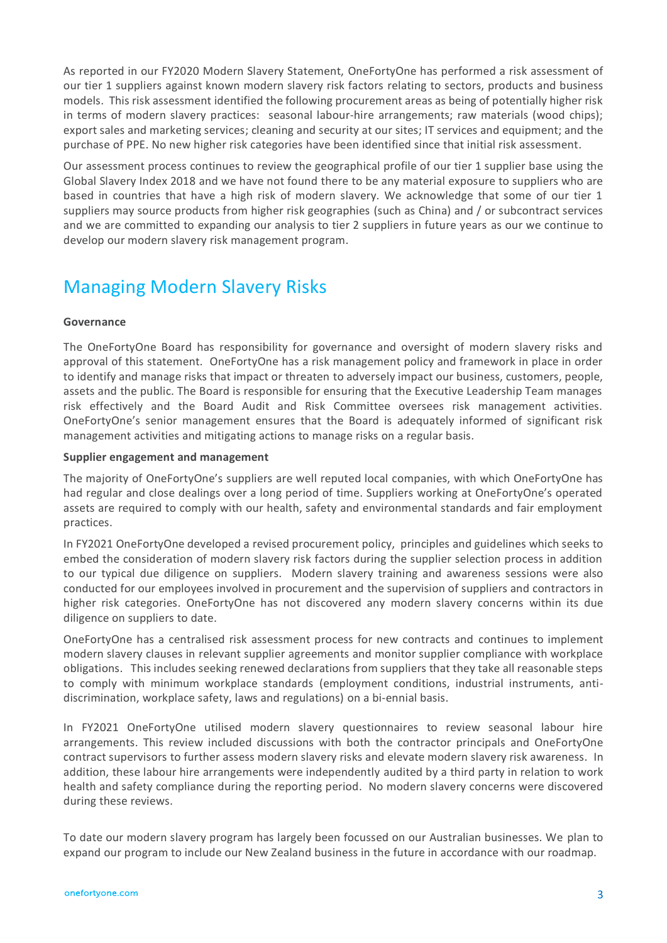As reported in our FY2020 Modern Slavery Statement, OneFortyOne has performed a risk assessment of our tier 1 suppliers against known modern slavery risk factors relating to sectors, products and business models. This risk assessment identified the following procurement areas as being of potentially higher risk in terms of modern slavery practices: seasonal labour-hire arrangements; raw materials (wood chips); export sales and marketing services; cleaning and security at our sites; IT services and equipment; and the purchase of PPE. No new higher risk categories have been identified since that initial risk assessment.

Our assessment process continues to review the geographical profile of our tier 1 supplier base using the Global Slavery Index 2018 and we have not found there to be any material exposure to suppliers who are based in countries that have a high risk of modern slavery. We acknowledge that some of our tier 1 suppliers may source products from higher risk geographies (such as China) and / or subcontract services and we are committed to expanding our analysis to tier 2 suppliers in future years as our we continue to develop our modern slavery risk management program.

# Managing Modern Slavery Risks

#### **Governance**

The OneFortyOne Board has responsibility for governance and oversight of modern slavery risks and approval of this statement. OneFortyOne has a risk management policy and framework in place in order to identify and manage risks that impact or threaten to adversely impact our business, customers, people, assets and the public. The Board is responsible for ensuring that the Executive Leadership Team manages risk effectively and the Board Audit and Risk Committee oversees risk management activities. OneFortyOne's senior management ensures that the Board is adequately informed of significant risk management activities and mitigating actions to manage risks on a regular basis.

#### **Supplier engagement and management**

The majority of OneFortyOne's suppliers are well reputed local companies, with which OneFortyOne has had regular and close dealings over a long period of time. Suppliers working at OneFortyOne's operated assets are required to comply with our health, safety and environmental standards and fair employment practices.

In FY2021 OneFortyOne developed a revised procurement policy, principles and guidelines which seeks to embed the consideration of modern slavery risk factors during the supplier selection process in addition to our typical due diligence on suppliers. Modern slavery training and awareness sessions were also conducted for our employees involved in procurement and the supervision of suppliers and contractors in higher risk categories. OneFortyOne has not discovered any modern slavery concerns within its due diligence on suppliers to date.

OneFortyOne has a centralised risk assessment process for new contracts and continues to implement modern slavery clauses in relevant supplier agreements and monitor supplier compliance with workplace obligations. This includes seeking renewed declarations from suppliers that they take all reasonable steps to comply with minimum workplace standards (employment conditions, industrial instruments, antidiscrimination, workplace safety, laws and regulations) on a bi-ennial basis.

In FY2021 OneFortyOne utilised modern slavery questionnaires to review seasonal labour hire arrangements. This review included discussions with both the contractor principals and OneFortyOne contract supervisors to further assess modern slavery risks and elevate modern slavery risk awareness. In addition, these labour hire arrangements were independently audited by a third party in relation to work health and safety compliance during the reporting period. No modern slavery concerns were discovered during these reviews.

To date our modern slavery program has largely been focussed on our Australian businesses. We plan to expand our program to include our New Zealand business in the future in accordance with our roadmap.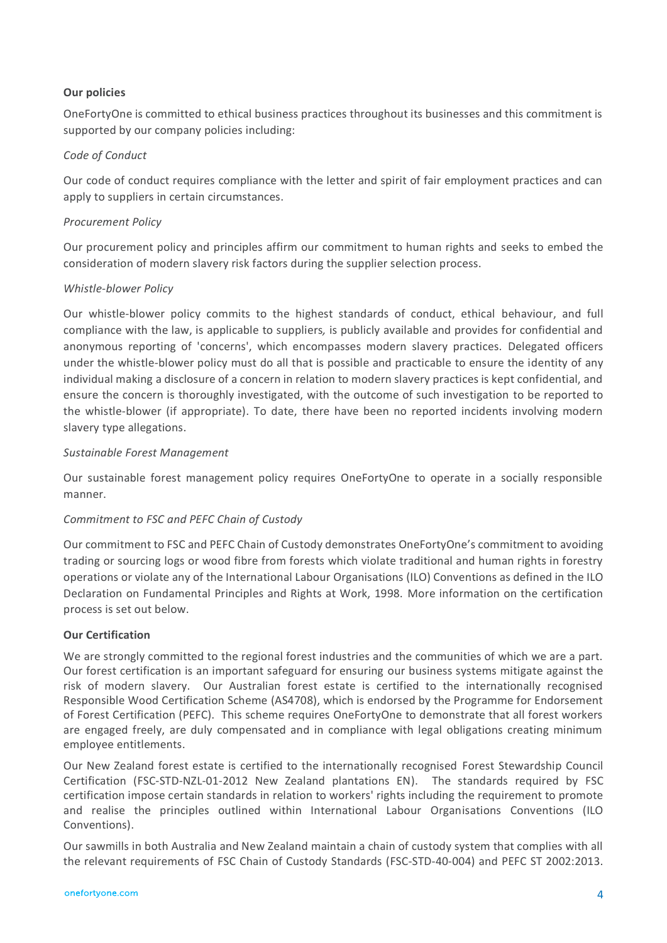#### **Our policies**

OneFortyOne is committed to ethical business practices throughout its businesses and this commitment is supported by our company policies including:

#### *Code of Conduct*

Our code of conduct requires compliance with the letter and spirit of fair employment practices and can apply to suppliers in certain circumstances.

#### *Procurement Policy*

Our procurement policy and principles affirm our commitment to human rights and seeks to embed the consideration of modern slavery risk factors during the supplier selection process.

#### *Whistle-blower Policy*

Our whistle-blower policy commits to the highest standards of conduct, ethical behaviour, and full compliance with the law, is applicable to suppliers*,* is publicly available and provides for confidential and anonymous reporting of 'concerns', which encompasses modern slavery practices. Delegated officers under the whistle-blower policy must do all that is possible and practicable to ensure the identity of any individual making a disclosure of a concern in relation to modern slavery practices is kept confidential, and ensure the concern is thoroughly investigated, with the outcome of such investigation to be reported to the whistle-blower (if appropriate). To date, there have been no reported incidents involving modern slavery type allegations.

#### *Sustainable Forest Management*

Our sustainable forest management policy requires OneFortyOne to operate in a socially responsible manner.

#### *Commitment to FSC and PEFC Chain of Custody*

Our commitment to FSC and PEFC Chain of Custody demonstrates OneFortyOne's commitment to avoiding trading or sourcing logs or wood fibre from forests which violate traditional and human rights in forestry operations or violate any of the International Labour Organisations (ILO) Conventions as defined in the ILO Declaration on Fundamental Principles and Rights at Work, 1998. More information on the certification process is set out below.

#### **Our Certification**

We are strongly committed to the regional forest industries and the communities of which we are a part. Our forest certification is an important safeguard for ensuring our business systems mitigate against the risk of modern slavery. Our Australian forest estate is certified to the internationally recognised Responsible Wood Certification Scheme (AS4708), which is endorsed by the Programme for Endorsement of Forest Certification (PEFC). This scheme requires OneFortyOne to demonstrate that all forest workers are engaged freely, are duly compensated and in compliance with legal obligations creating minimum employee entitlements.

Our New Zealand forest estate is certified to the internationally recognised Forest Stewardship Council Certification (FSC-STD-NZL-01-2012 New Zealand plantations EN). The standards required by FSC certification impose certain standards in relation to workers' rights including the requirement to promote and realise the principles outlined within International Labour Organisations Conventions (ILO Conventions).

Our sawmills in both Australia and New Zealand maintain a chain of custody system that complies with all the relevant requirements of FSC Chain of Custody Standards (FSC-STD-40-004) and PEFC ST 2002:2013.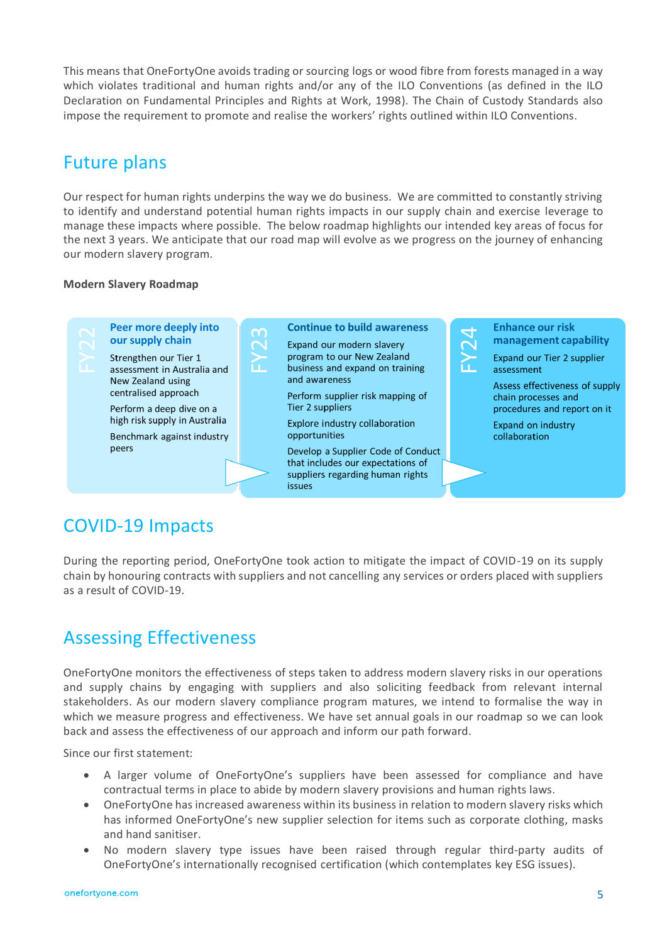This means that OneFortyOne avoids trading or sourcing logs or wood fibre from forests managed in a way which violates traditional and human rights and/or any of the ILO Conventions (as defined in the ILO Declaration on Fundamental Principles and Rights at Work, 1998). The Chain of Custody Standards also impose the requirement to promote and realise the workers' rights outlined within ILO Conventions.

### Future plans

Our respect for human rights underpins the way we do business. We are committed to constantly striving to identify and understand potential human rights impacts in our supply chain and exercise leverage to manage these impacts where possible. The below roadmap highlights our intended key areas of focus for the next 3 years. We anticipate that our road map will evolve as we progress on the journey of enhancing our modern slavery program.

#### **Modern Slavery Roadmap**



## COVID-19 Impacts

During the reporting period, OneFortyOne took action to mitigate the impact of COVID-19 on its supply chain by honouring contracts with suppliers and not cancelling any services or orders placed with suppliers as a result of COVID-19.

# Assessing Effectiveness

OneFortyOne monitors the effectiveness of steps taken to address modern slavery risks in our operations and supply chains by engaging with suppliers and also soliciting feedback from relevant internal stakeholders. As our modern slavery compliance program matures, we intend to formalise the way in which we measure progress and effectiveness. We have set annual goals in our roadmap so we can look back and assess the effectiveness of our approach and inform our path forward.

Since our first statement:

- A larger volume of OneFortyOne's suppliers have been assessed for compliance and have contractual terms in place to abide by modern slavery provisions and human rights laws.
- OneFortyOne has increased awareness within its business in relation to modern slavery risks which has informed OneFortyOne's new supplier selection for items such as corporate clothing, masks and hand sanitiser.
- No modern slavery type issues have been raised through regular third-party audits of OneFortyOne's internationally recognised certification (which contemplates key ESG issues).